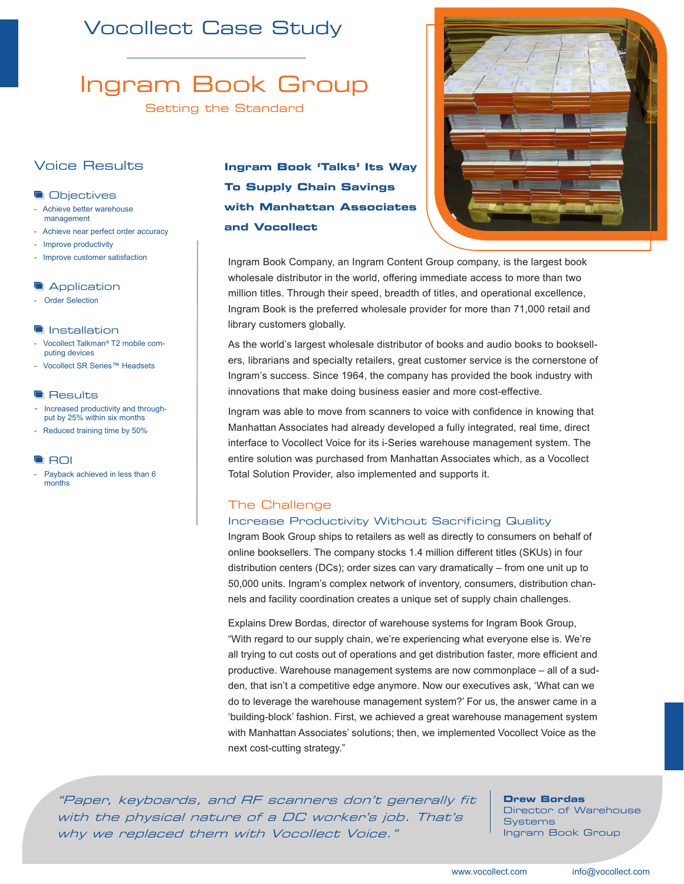## Vocollect Case Study

# Ingram Book Group

Setting the Standard

## Voice Results

### **Objectives**

- Achieve better warehouse management
- Achieve near perfect order accuracy
- Improve productivity
- Improve customer satisfaction

## **Application**

- Order Selection

## **Installation**

- Vocollect Talkman*®* T2 mobile computing devices
- Vocollect SR Series™ Headsets

#### **Results**

- Increased productivity and throughput by 25% within six months
- Reduced training time by 50%

## **ROI**

Payback achieved in less than 6 months

**Ingram Book 'Talks' Its Way To Supply Chain Savings with Manhattan Associates and Vocollect**



Ingram Book Company, an Ingram Content Group company, is the largest book wholesale distributor in the world, offering immediate access to more than two million titles. Through their speed, breadth of titles, and operational excellence, Ingram Book is the preferred wholesale provider for more than 71,000 retail and library customers globally.

As the world's largest wholesale distributor of books and audio books to booksellers, librarians and specialty retailers, great customer service is the cornerstone of Ingram's success. Since 1964, the company has provided the book industry with innovations that make doing business easier and more cost-effective.

Ingram was able to move from scanners to voice with confidence in knowing that Manhattan Associates had already developed a fully integrated, real time, direct interface to Vocollect Voice for its i-Series warehouse management system. The entire solution was purchased from Manhattan Associates which, as a Vocollect Total Solution Provider, also implemented and supports it.

## The Challenge

## Increase Productivity Without Sacrificing Quality

Ingram Book Group ships to retailers as well as directly to consumers on behalf of online booksellers. The company stocks 1.4 million different titles (SKUs) in four distribution centers (DCs); order sizes can vary dramatically – from one unit up to 50,000 units. Ingram's complex network of inventory, consumers, distribution channels and facility coordination creates a unique set of supply chain challenges.

Explains Drew Bordas, director of warehouse systems for Ingram Book Group, "With regard to our supply chain, we're experiencing what everyone else is. We're all trying to cut costs out of operations and get distribution faster, more efficient and productive. Warehouse management systems are now commonplace – all of a sudden, that isn't a competitive edge anymore. Now our executives ask, 'What can we do to leverage the warehouse management system?' For us, the answer came in a 'building-block' fashion. First, we achieved a great warehouse management system with Manhattan Associates' solutions; then, we implemented Vocollect Voice as the next cost-cutting strategy."

"Paper, keyboards, and RF scanners don't generally fit with the physical nature of a DC worker's job. That's why we replaced them with Vocollect Voice."

## **Drew Bordas**

Director of Warehouse **Systems** Ingram Book Group